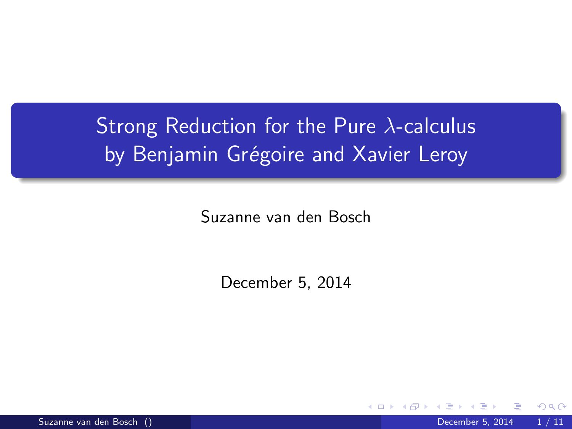# Strong Reduction for the Pure  $\lambda$ -calculus by Benjamin Grégoire and Xavier Leroy

Suzanne van den Bosch

December 5, 2014

 $\Omega$ 

Suzanne van den Bosch () December 5, 2014 1 / 11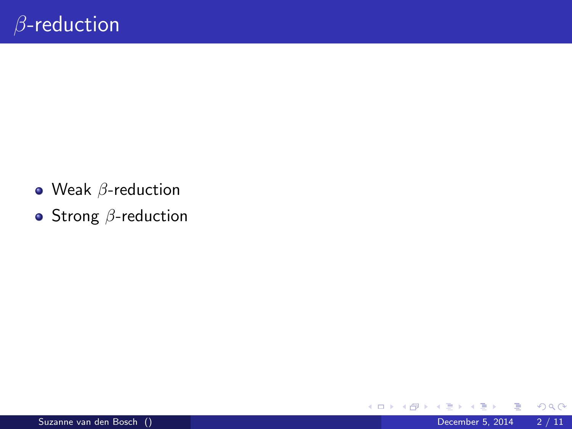- $\bullet$  Weak  $\beta$ -reduction
- $\bullet$  Strong  $\beta$ -reduction

画

4 日下

4 何 ▶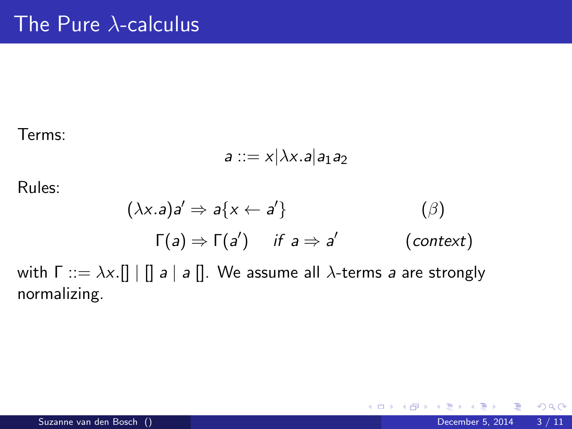Terms:

$$
a ::= x | \lambda x . a | a_1 a_2
$$

Rules:

$$
(\lambda x.a)a' \Rightarrow a\{x \leftarrow a'\}
$$
  
\n
$$
\Gamma(a) \Rightarrow \Gamma(a') \quad \text{if } a \Rightarrow a'
$$
  
\n(*context*)

4 0 8

**∢ 向 →** 

with  $\Gamma ::= \lambda x. [ ] \mid [ ] \mid a \mid a ] ]$ . We assume all  $\lambda$ -terms a are strongly normalizing.

画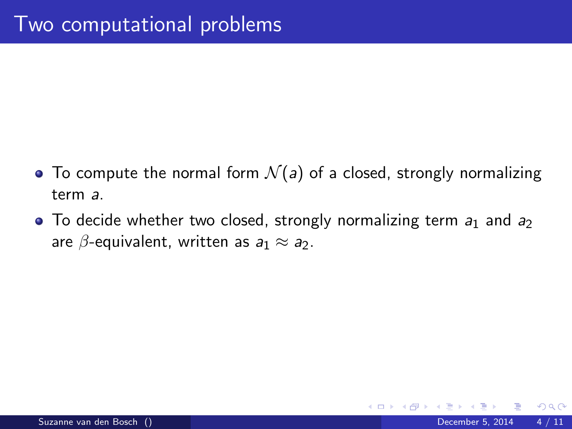- To compute the normal form  $\mathcal{N}(a)$  of a closed, strongly normalizing term a.
- $\bullet$  To decide whether two closed, strongly normalizing term  $a_1$  and  $a_2$ are  $\beta$ -equivalent, written as  $a_1 \approx a_2$ .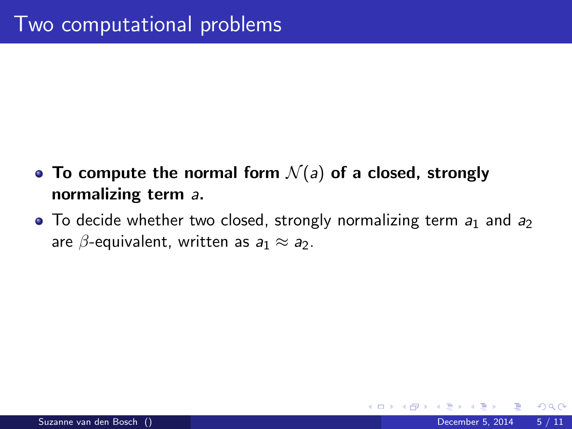- To compute the normal form  $\mathcal{N}(a)$  of a closed, strongly normalizing term a.
- $\bullet$  To decide whether two closed, strongly normalizing term  $a_1$  and  $a_2$ are  $\beta$ -equivalent, written as  $a_1 \approx a_2$ .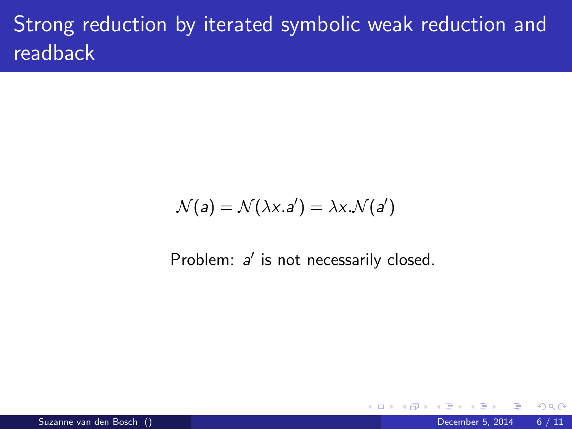# Strong reduction by iterated symbolic weak reduction and readback

$$
\mathcal{N}(a) = \mathcal{N}(\lambda x.a') = \lambda x.\mathcal{N}(a')
$$

Problem:  $a'$  is not necessarily closed.

4 0 8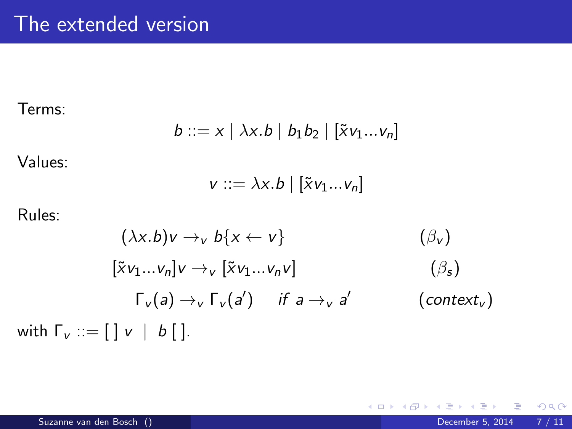Terms:

$$
b ::= x \mid \lambda x.b \mid b_1b_2 \mid [\tilde{x}v_1...v_n]
$$

Values:

$$
v ::= \lambda x.b \mid [\tilde{x}v_1...v_n]
$$

Rules:

$$
(\lambda x.b)v \rightarrow_{v} b\{x \leftarrow v\}
$$
  
\n
$$
[\tilde{x}v_{1}...v_{n}]v \rightarrow_{v} [\tilde{x}v_{1}...v_{n}v]
$$
  
\n
$$
\Gamma_{v}(a) \rightarrow_{v} \Gamma_{v}(a')
$$
 if  $a \rightarrow_{v} a'$   
\n
$$
(\beta_{s})
$$
  
\nwith  $\Gamma_{v} ::= [] v \mid b[]$ .  
\n
$$
(context_{v})
$$

E  $\mathcal{A}$ 

**←ロ ▶ → 伊 ▶** 

重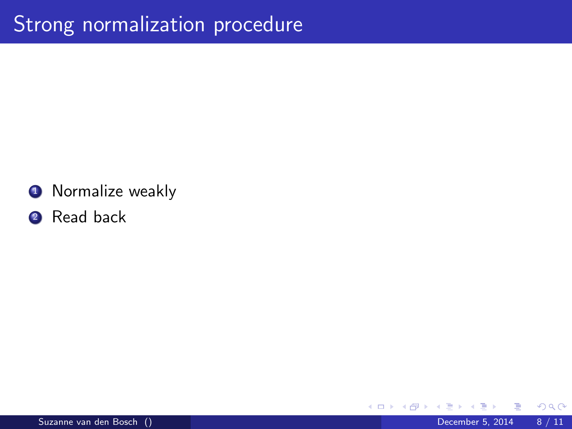#### **4** Normalize weakly

#### 2 Read back

4 0 8

⊜⊪

Þ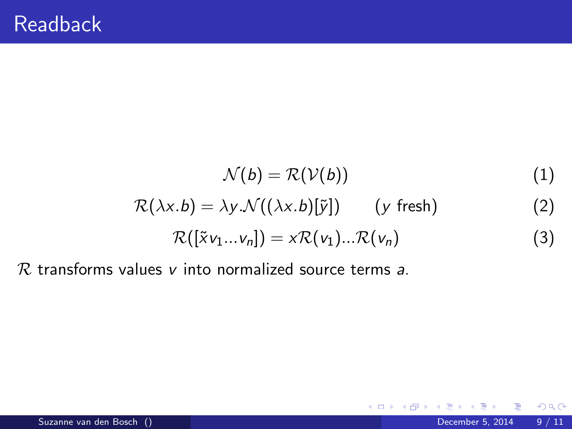$$
\mathcal{N}(b) = \mathcal{R}(\mathcal{V}(b)) \tag{1}
$$
\n
$$
\mathcal{R}(\lambda x.b) = \lambda y.\mathcal{N}((\lambda x.b)[\tilde{y}]) \qquad (y \text{ fresh}) \tag{2}
$$
\n
$$
\mathcal{P}(\tilde{y}_{11}, \ldots, y_{n1}) \cdots \mathcal{P}(\tilde{y}_{n1}) \qquad \mathcal{P}(\tilde{y}_{n2}) \tag{2}
$$

$$
\mathcal{R}([\tilde{x}v_1...v_n]) = x\mathcal{R}(v_1)... \mathcal{R}(v_n)
$$
\n(3)

**← ロ ▶ → イ 同** 

 $\rightarrow$ 

 $R$  transforms values  $v$  into normalized source terms a.

Þ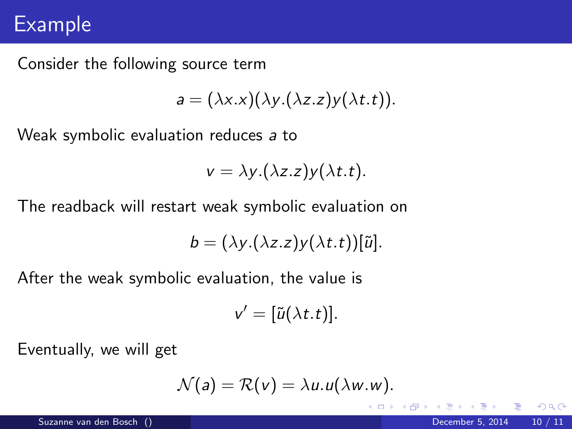### Example

Consider the following source term

$$
a = (\lambda x.x)(\lambda y.(\lambda z.z)y(\lambda t.t)).
$$

Weak symbolic evaluation reduces a to

$$
v = \lambda y.(\lambda z. z)y(\lambda t. t).
$$

The readback will restart weak symbolic evaluation on

$$
b=(\lambda y.(\lambda z.z)y(\lambda t.t))[\tilde{u}].
$$

After the weak symbolic evaluation, the value is

$$
v'=[\tilde{u}(\lambda t.t)].
$$

Eventually, we will get

$$
\mathcal{N}(a) = \mathcal{R}(v) = \lambda u.u(\lambda w.w).
$$

4 0 8